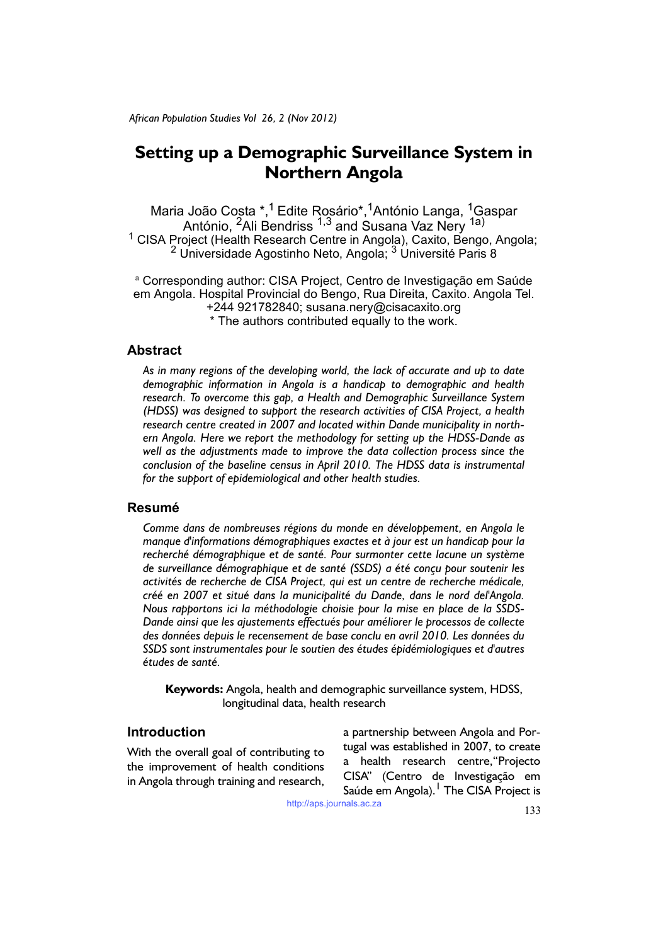# **Setting up a Demographic Surveillance System in Northern Angola**

Maria João Costa \*,<sup>1</sup> Edite Rosário\*,<sup>1</sup>António Langa, <sup>1</sup>Gaspar António, <sup>2</sup>Ali Bendriss <sup>1,3</sup> and Susana Vaz Nery <sup>1a)</sup><br><sup>1</sup> CISA Project (Health Research Centre in Angola), Caxito, Bengo, Angola; <sup>2</sup> Universidade Agostinho Neto, Angola; <sup>3</sup> Université Paris 8

<sup>a</sup> Corresponding author: CISA Project, Centro de Investigação em Saúde em Angola. Hospital Provincial do Bengo, Rua Direita, Caxito. Angola Tel. +244 921782840; susana.nery@cisacaxito.org \* The authors contributed equally to the work.

# **Abstract**

*As in many regions of the developing world, the lack of accurate and up to date demographic information in Angola is a handicap to demographic and health research. To overcome this gap, a Health and Demographic Surveillance System (HDSS) was designed to support the research activities of CISA Project, a health research centre created in 2007 and located within Dande municipality in northern Angola. Here we report the methodology for setting up the HDSS-Dande as well as the adjustments made to improve the data collection process since the conclusion of the baseline census in April 2010. The HDSS data is instrumental for the support of epidemiological and other health studies.*

# **Resumé**

*Comme dans de nombreuses régions du monde en développement, en Angola le manque d'informations démographiques exactes et à jour est un handicap pour la*  recherché démographique et de santé. Pour surmonter cette lacune un système *de surveillance démographique et de santé (SSDS) a été conçu pour soutenir les activités de recherche de CISA Project, qui est un centre de recherche médicale, créé en 2007 et situé dans la municipalité du Dande, dans le nord del'Angola. Nous rapportons ici la méthodologie choisie pour la mise en place de la SSDS-Dande ainsi que les ajustements effectués pour améliorer le processos de collecte des données depuis le recensement de base conclu en avril 2010. Les données du SSDS sont instrumentales pour le soutien des études épidémiologiques et d'autres études de santé.*

**Keywords:** Angola, health and demographic surveillance system, HDSS, longitudinal data, health research

# **Introduction**

With the overall goal of contributing to the improvement of health conditions in Angola through training and research,

a partnership between Angola and Portugal was established in 2007, to create a health research centre,"Projecto CISA" (Centro de Investigação em Saúde em Angola). <sup>I</sup> The CISA Project is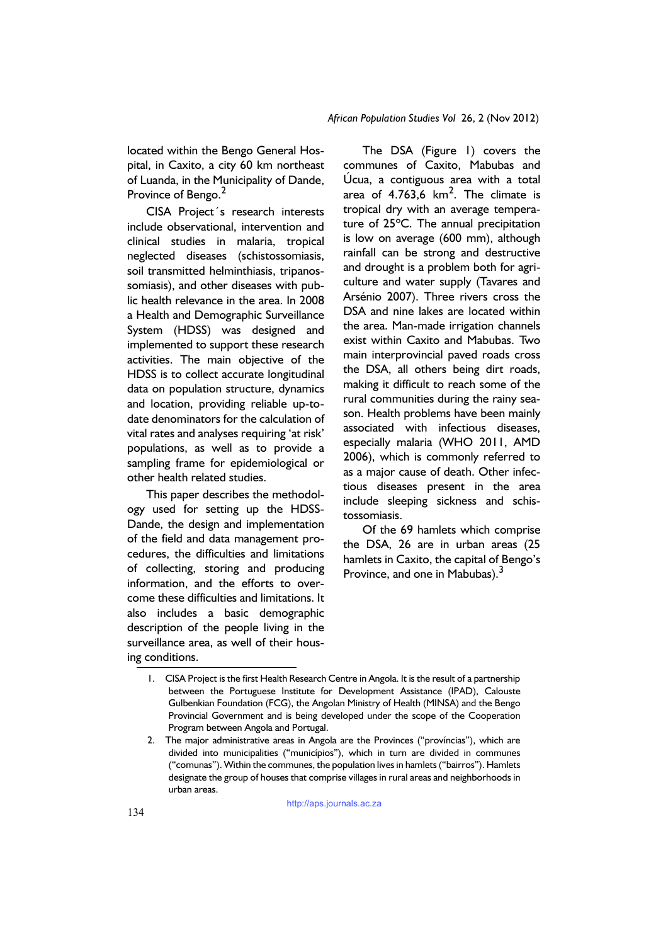located within the Bengo General Hospital, in Caxito, a city 60 km northeast of Luanda, in the Municipality of Dande, Province of Bengo.<sup>2</sup>

CISA Project´s research interests include observational, intervention and clinical studies in malaria, tropical neglected diseases (schistossomiasis, soil transmitted helminthiasis, tripanossomiasis), and other diseases with public health relevance in the area. In 2008 a Health and Demographic Surveillance System (HDSS) was designed and implemented to support these research activities. The main objective of the HDSS is to collect accurate longitudinal data on population structure, dynamics and location, providing reliable up-todate denominators for the calculation of vital rates and analyses requiring 'at risk' populations, as well as to provide a sampling frame for epidemiological or other health related studies.

This paper describes the methodology used for setting up the HDSS-Dande, the design and implementation of the field and data management procedures, the difficulties and limitations of collecting, storing and producing information, and the efforts to overcome these difficulties and limitations. It also includes a basic demographic description of the people living in the surveillance area, as well of their housing conditions.

The DSA (Figure 1) covers the communes of Caxito, Mabubas and Úcua, a contiguous area with a total area of 4.763,6  $km^2$ . The climate is tropical dry with an average temperature of 25ºC. The annual precipitation is low on average (600 mm), although rainfall can be strong and destructive and drought is a problem both for agriculture and water supply (Tavares and Arsénio 2007). Three rivers cross the DSA and nine lakes are located within the area. Man-made irrigation channels exist within Caxito and Mabubas. Two main interprovincial paved roads cross the DSA, all others being dirt roads, making it difficult to reach some of the rural communities during the rainy season. Health problems have been mainly associated with infectious diseases, especially malaria (WHO 2011, AMD 2006), which is commonly referred to as a major cause of death. Other infectious diseases present in the area include sleeping sickness and schistossomiasis.

Of the 69 hamlets which comprise the DSA, 26 are in urban areas (25 hamlets in Caxito, the capital of Bengo's Province, and one in Mabubas).<sup>3</sup>

<sup>1.</sup> CISA Project is the first Health Research Centre in Angola. It is the result of a partnership between the Portuguese Institute for Development Assistance (IPAD), Calouste Gulbenkian Foundation (FCG), the Angolan Ministry of Health (MINSA) and the Bengo Provincial Government and is being developed under the scope of the Cooperation Program between Angola and Portugal.

<sup>2.</sup> The major administrative areas in Angola are the Provinces ("províncias"), which are divided into municipalities ("municípios"), which in turn are divided in communes ("comunas"). Within the communes, the population lives in hamlets ("bairros"). Hamlets designate the group of houses that comprise villages in rural areas and neighborhoods in urban areas.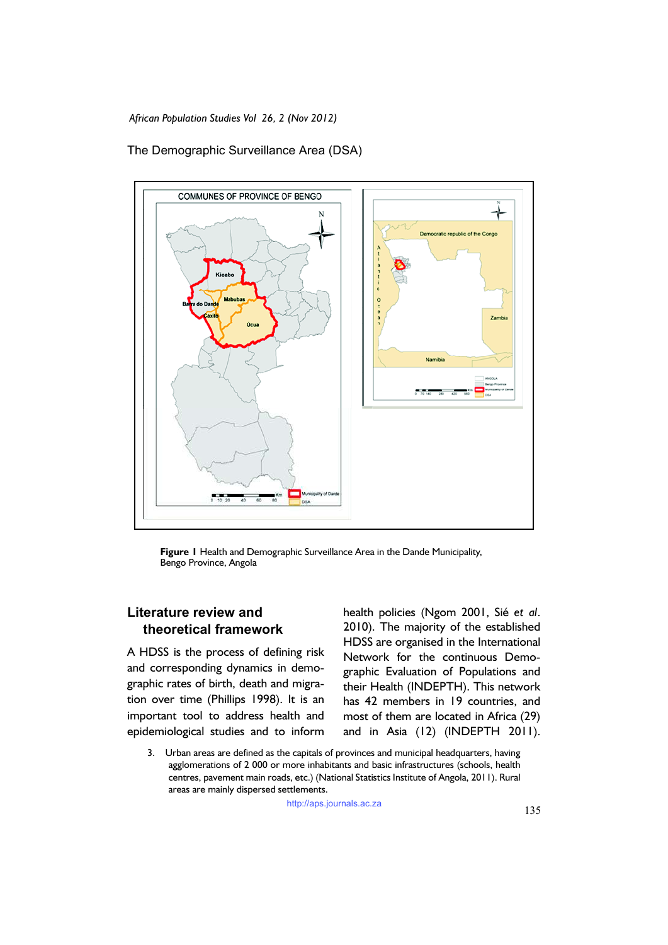The Demographic Surveillance Area (DSA)



**Figure 1** Health and Demographic Surveillance Area in the Dande Municipality, Bengo Province, Angola

# **Literature review and theoretical framework**

A HDSS is the process of defining risk and corresponding dynamics in demographic rates of birth, death and migration over time (Phillips 1998). It is an important tool to address health and epidemiological studies and to inform

health policies (Ngom 2001, Sié *et al*. 2010). The majority of the established HDSS are organised in the International Network for the continuous Demographic Evaluation of Populations and their Health (INDEPTH). This network has 42 members in 19 countries, and most of them are located in Africa (29) and in Asia (12) (INDEPTH 2011).

3. Urban areas are defined as the capitals of provinces and municipal headquarters, having agglomerations of 2 000 or more inhabitants and basic infrastructures (schools, health centres, pavement main roads, etc.) (National Statistics Institute of Angola, 2011). Rural areas are mainly dispersed settlements.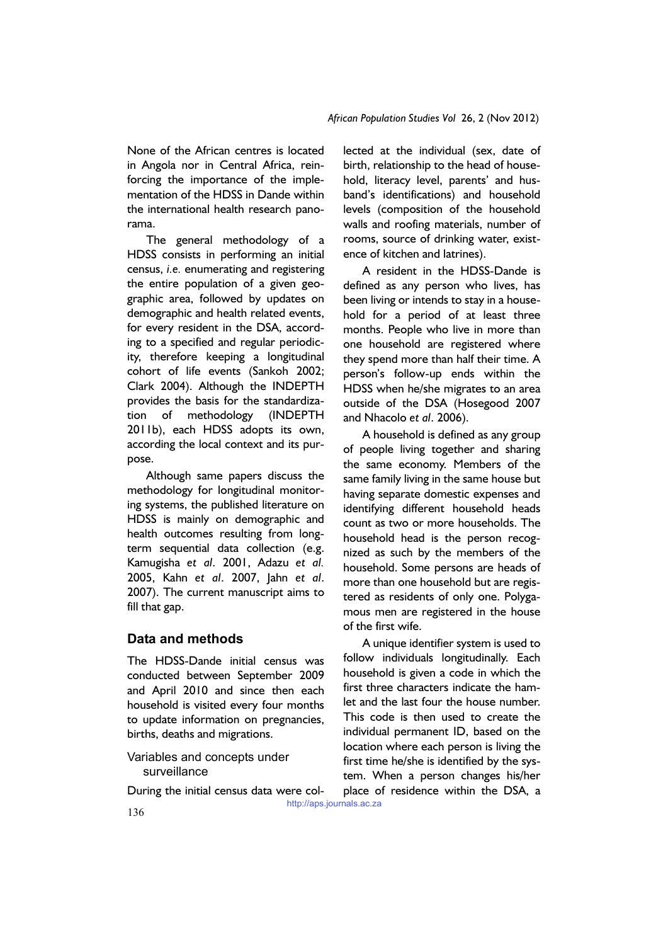None of the African centres is located in Angola nor in Central Africa, reinforcing the importance of the implementation of the HDSS in Dande within the international health research panorama.

The general methodology of a HDSS consists in performing an initial census, *i.e.* enumerating and registering the entire population of a given geographic area, followed by updates on demographic and health related events, for every resident in the DSA, according to a specified and regular periodicity, therefore keeping a longitudinal cohort of life events (Sankoh 2002; Clark 2004). Although the INDEPTH provides the basis for the standardization of methodology (INDEPTH 2011b), each HDSS adopts its own, according the local context and its purpose.

Although same papers discuss the methodology for longitudinal monitoring systems, the published literature on HDSS is mainly on demographic and health outcomes resulting from longterm sequential data collection (e.g. Kamugisha *et al*. 2001, Adazu *et al.* 2005, Kahn *et al*. 2007, Jahn *et al*. 2007). The current manuscript aims to fill that gap.

# **Data and methods**

The HDSS-Dande initial census was conducted between September 2009 and April 2010 and since then each household is visited every four months to update information on pregnancies, births, deaths and migrations.

Variables and concepts under surveillance

During the initial census data were col-

lected at the individual (sex, date of birth, relationship to the head of household, literacy level, parents' and husband's identifications) and household levels (composition of the household walls and roofing materials, number of rooms, source of drinking water, existence of kitchen and latrines).

A resident in the HDSS-Dande is defined as any person who lives, has been living or intends to stay in a household for a period of at least three months. People who live in more than one household are registered where they spend more than half their time. A person's follow-up ends within the HDSS when he/she migrates to an area outside of the DSA (Hosegood 2007 and Nhacolo *et al*. 2006).

A household is defined as any group of people living together and sharing the same economy. Members of the same family living in the same house but having separate domestic expenses and identifying different household heads count as two or more households. The household head is the person recognized as such by the members of the household. Some persons are heads of more than one household but are registered as residents of only one. Polygamous men are registered in the house of the first wife.

A unique identifier system is used to follow individuals longitudinally. Each household is given a code in which the first three characters indicate the hamlet and the last four the house number. This code is then used to create the individual permanent ID, based on the location where each person is living the first time he/she is identified by the system. When a person changes his/her place of residence within the DSA, a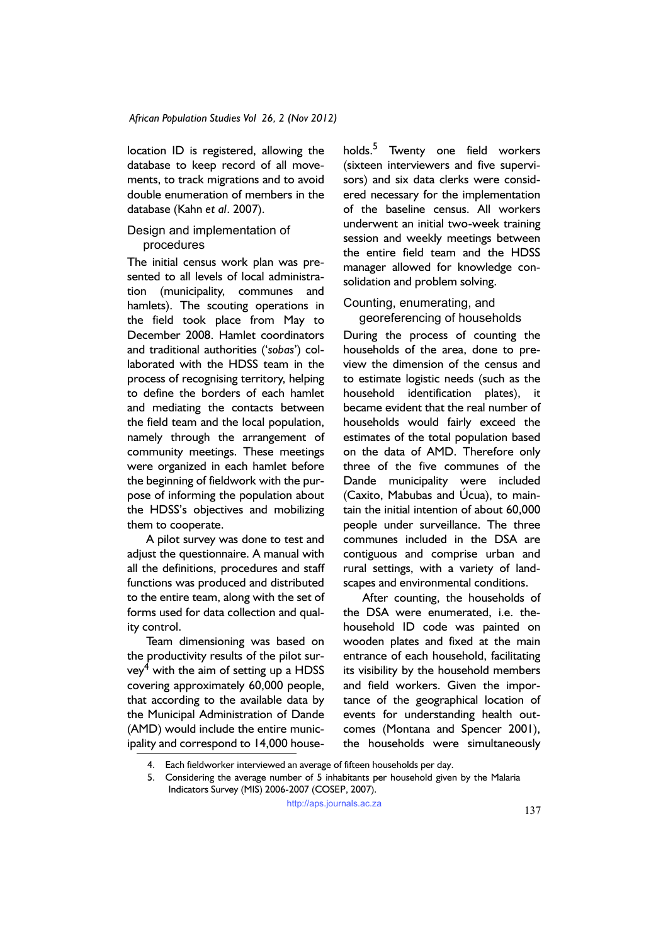location ID is registered, allowing the database to keep record of all movements, to track migrations and to avoid double enumeration of members in the database (Kahn *et al*. 2007).

### Design and implementation of procedures

The initial census work plan was presented to all levels of local administration (municipality, communes and hamlets). The scouting operations in the field took place from May to December 2008. Hamlet coordinators and traditional authorities ('*sobas*') collaborated with the HDSS team in the process of recognising territory, helping to define the borders of each hamlet and mediating the contacts between the field team and the local population, namely through the arrangement of community meetings. These meetings were organized in each hamlet before the beginning of fieldwork with the purpose of informing the population about the HDSS's objectives and mobilizing them to cooperate.

A pilot survey was done to test and adjust the questionnaire. A manual with all the definitions, procedures and staff functions was produced and distributed to the entire team, along with the set of forms used for data collection and quality control.

Team dimensioning was based on the productivity results of the pilot survey $^4$  with the aim of setting up a HDSS covering approximately 60,000 people, that according to the available data by the Municipal Administration of Dande (AMD) would include the entire municipality and correspond to 14,000 house-

holds.<sup>5</sup> Twenty one field workers (sixteen interviewers and five supervisors) and six data clerks were considered necessary for the implementation of the baseline census. All workers underwent an initial two-week training session and weekly meetings between the entire field team and the HDSS manager allowed for knowledge consolidation and problem solving.

Counting, enumerating, and georeferencing of households

During the process of counting the households of the area, done to preview the dimension of the census and to estimate logistic needs (such as the household identification plates), it became evident that the real number of households would fairly exceed the estimates of the total population based on the data of AMD. Therefore only three of the five communes of the Dande municipality were included (Caxito, Mabubas and Úcua), to maintain the initial intention of about 60,000 people under surveillance. The three communes included in the DSA are contiguous and comprise urban and rural settings, with a variety of landscapes and environmental conditions.

After counting, the households of the DSA were enumerated, i.e. thehousehold ID code was painted on wooden plates and fixed at the main entrance of each household, facilitating its visibility by the household members and field workers. Given the importance of the geographical location of events for understanding health outcomes (Montana and Spencer 2001), the households were simultaneously

<sup>4.</sup> Each fieldworker interviewed an average of fifteen households per day.

<sup>5.</sup> Considering the average number of 5 inhabitants per household given by the Malaria Indicators Survey (MIS) 2006-2007 (COSEP, 2007).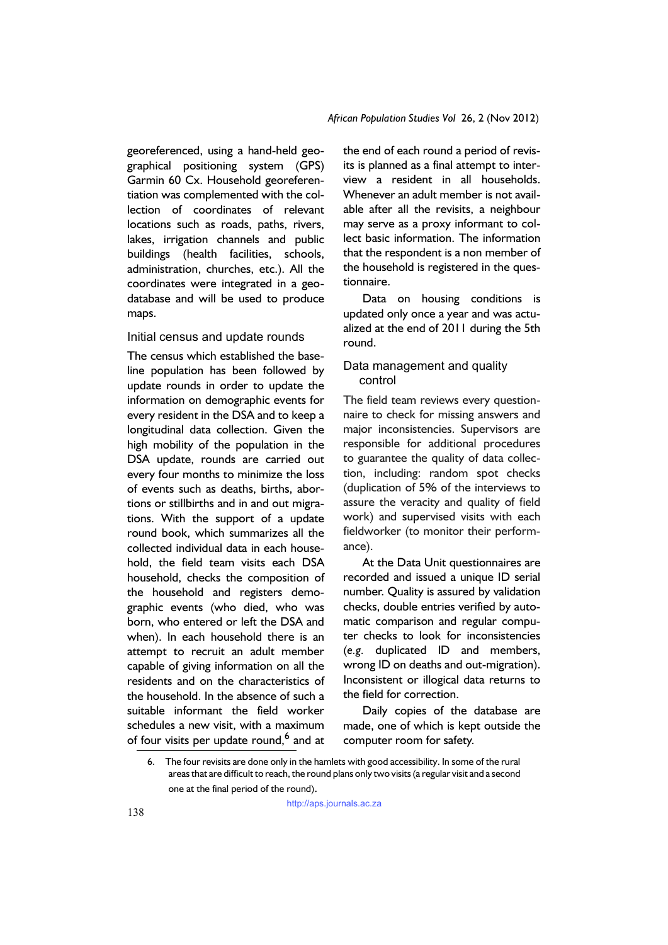georeferenced, using a hand-held geographical positioning system (GPS) Garmin 60 Cx. Household georeferentiation was complemented with the collection of coordinates of relevant locations such as roads, paths, rivers, lakes, irrigation channels and public buildings (health facilities, schools, administration, churches, etc.). All the coordinates were integrated in a geodatabase and will be used to produce maps.

## Initial census and update rounds

The census which established the baseline population has been followed by update rounds in order to update the information on demographic events for every resident in the DSA and to keep a longitudinal data collection. Given the high mobility of the population in the DSA update, rounds are carried out every four months to minimize the loss of events such as deaths, births, abortions or stillbirths and in and out migrations. With the support of a update round book, which summarizes all the collected individual data in each household, the field team visits each DSA household, checks the composition of the household and registers demographic events (who died, who was born, who entered or left the DSA and when). In each household there is an attempt to recruit an adult member capable of giving information on all the residents and on the characteristics of the household. In the absence of such a suitable informant the field worker schedules a new visit, with a maximum of four visits per update round,<sup>6</sup> and at the end of each round a period of revisits is planned as a final attempt to interview a resident in all households. Whenever an adult member is not available after all the revisits, a neighbour may serve as a proxy informant to collect basic information. The information that the respondent is a non member of the household is registered in the questionnaire.

Data on housing conditions is updated only once a year and was actualized at the end of 2011 during the 5th round.

## Data management and quality control

The field team reviews every questionnaire to check for missing answers and major inconsistencies. Supervisors are responsible for additional procedures to guarantee the quality of data collection, including: random spot checks (duplication of 5% of the interviews to assure the veracity and quality of field work) and supervised visits with each fieldworker (to monitor their performance).

At the Data Unit questionnaires are recorded and issued a unique ID serial number. Quality is assured by validation checks, double entries verified by automatic comparison and regular computer checks to look for inconsistencies (*e.g.* duplicated ID and members, wrong ID on deaths and out-migration). Inconsistent or illogical data returns to the field for correction.

Daily copies of the database are made, one of which is kept outside the computer room for safety.

<sup>6.</sup> The four revisits are done only in the hamlets with good accessibility. In some of the rural areas that are difficult to reach, the round plans only two visits (a regular visit and a second one at the final period of the round).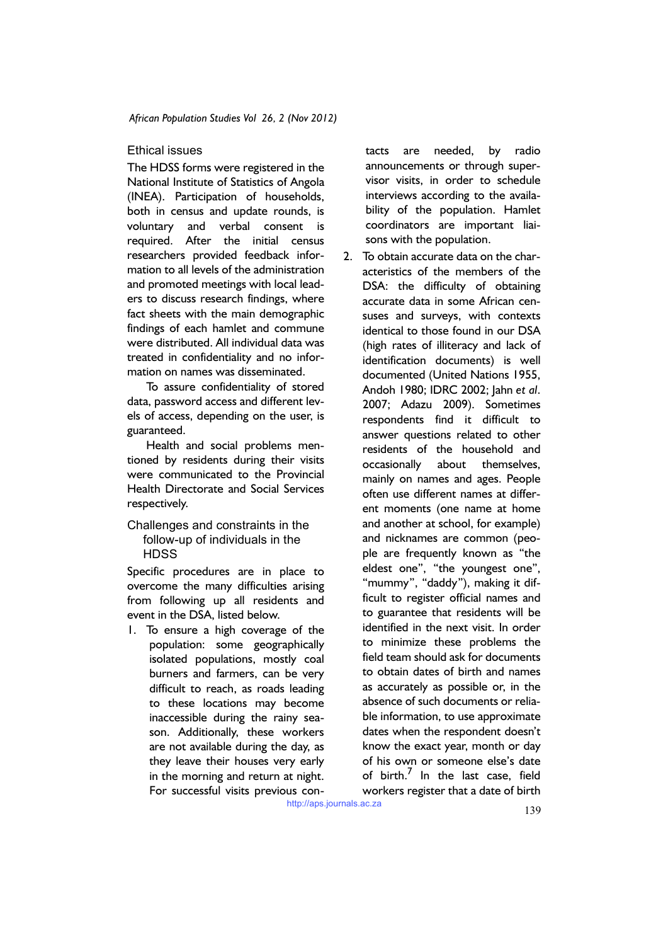## Ethical issues

The HDSS forms were registered in the National Institute of Statistics of Angola (INEA). Participation of households, both in census and update rounds, is voluntary and verbal consent is required. After the initial census researchers provided feedback information to all levels of the administration and promoted meetings with local leaders to discuss research findings, where fact sheets with the main demographic findings of each hamlet and commune were distributed. All individual data was treated in confidentiality and no information on names was disseminated.

To assure confidentiality of stored data, password access and different levels of access, depending on the user, is guaranteed.

Health and social problems mentioned by residents during their visits were communicated to the Provincial Health Directorate and Social Services respectively.

### Challenges and constraints in the follow-up of individuals in the **HDSS**

Specific procedures are in place to overcome the many difficulties arising from following up all residents and event in the DSA, listed below.

1. To ensure a high coverage of the population: some geographically isolated populations, mostly coal burners and farmers, can be very difficult to reach, as roads leading to these locations may become inaccessible during the rainy season. Additionally, these workers are not available during the day, as they leave their houses very early in the morning and return at night. For successful visits previous contacts are needed, by radio announcements or through supervisor visits, in order to schedule interviews according to the availability of the population. Hamlet coordinators are important liaisons with the population.

2. To obtain accurate data on the characteristics of the members of the DSA: the difficulty of obtaining accurate data in some African censuses and surveys, with contexts identical to those found in our DSA (high rates of illiteracy and lack of identification documents) is well documented (United Nations 1955, Andoh 1980; IDRC 2002; Jahn *et al*. 2007; Adazu 2009). Sometimes respondents find it difficult to answer questions related to other residents of the household and occasionally about themselves, mainly on names and ages. People often use different names at different moments (one name at home and another at school, for example) and nicknames are common (people are frequently known as "the .<br>eldest one", "the youngest one", "mummy", "daddy"), making it difficult to register official names and to guarantee that residents will be identified in the next visit. In order to minimize these problems the field team should ask for documents to obtain dates of birth and names as accurately as possible or, in the absence of such documents or reliable information, to use approximate dates when the respondent doesn't know the exact year, month or day of his own or someone else's date of birth.<sup>7</sup> In the last case, field workers register that a date of birth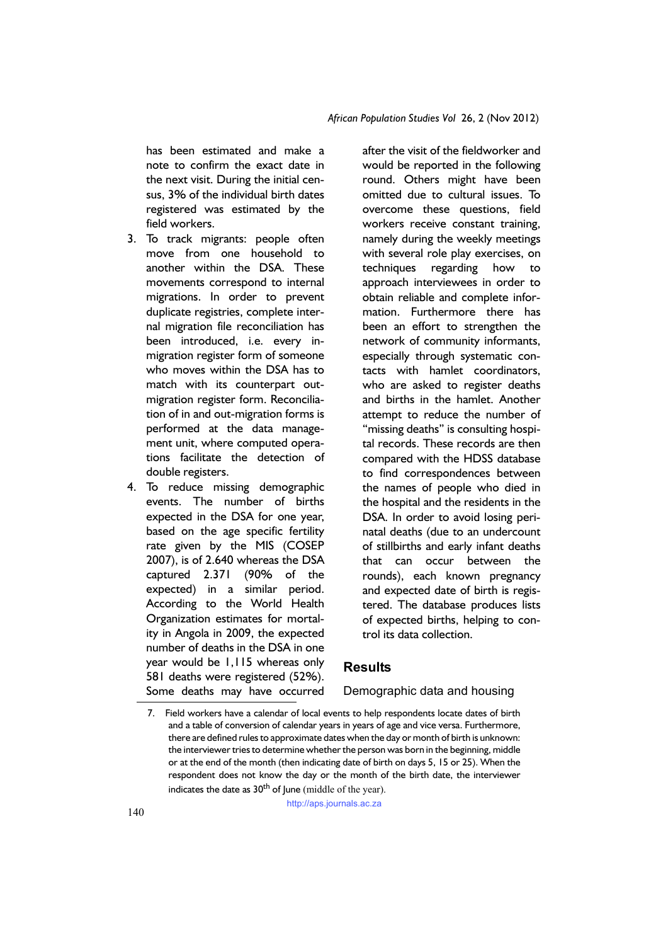has been estimated and make a note to confirm the exact date in the next visit. During the initial census, 3% of the individual birth dates registered was estimated by the field workers.

- 3. To track migrants: people often move from one household to another within the DSA. These movements correspond to internal migrations. In order to prevent duplicate registries, complete internal migration file reconciliation has been introduced, i.e. every inmigration register form of someone who moves within the DSA has to match with its counterpart outmigration register form. Reconciliation of in and out-migration forms is performed at the data management unit, where computed operations facilitate the detection of double registers.
- 4. To reduce missing demographic events. The number of births expected in the DSA for one year, based on the age specific fertility rate given by the MIS (COSEP 2007), is of 2.640 whereas the DSA captured 2.371 (90% of the expected) in a similar period. According to the World Health Organization estimates for mortality in Angola in 2009, the expected number of deaths in the DSA in one year would be 1,115 whereas only 581 deaths were registered (52%). Some deaths may have occurred

after the visit of the fieldworker and would be reported in the following round. Others might have been omitted due to cultural issues. To overcome these questions, field workers receive constant training, namely during the weekly meetings with several role play exercises, on techniques regarding how to approach interviewees in order to obtain reliable and complete information. Furthermore there has been an effort to strengthen the network of community informants, especially through systematic contacts with hamlet coordinators, who are asked to register deaths and births in the hamlet. Another attempt to reduce the number of "missing deaths" is consulting hospital records. These records are then compared with the HDSS database to find correspondences between the names of people who died in the hospital and the residents in the DSA. In order to avoid losing perinatal deaths (due to an undercount of stillbirths and early infant deaths that can occur between the rounds), each known pregnancy and expected date of birth is registered. The database produces lists of expected births, helping to control its data collection.

# **Results**

Demographic data and housing

http://aps.journals.ac.za

<sup>7.</sup> Field workers have a calendar of local events to help respondents locate dates of birth and a table of conversion of calendar years in years of age and vice versa. Furthermore, there are defined rules to approximate dates when the day or month of birth is unknown: the interviewer tries to determine whether the person was born in the beginning, middle or at the end of the month (then indicating date of birth on days 5, 15 or 25). When the respondent does not know the day or the month of the birth date, the interviewer indicates the date as  $30<sup>th</sup>$  of June (middle of the year).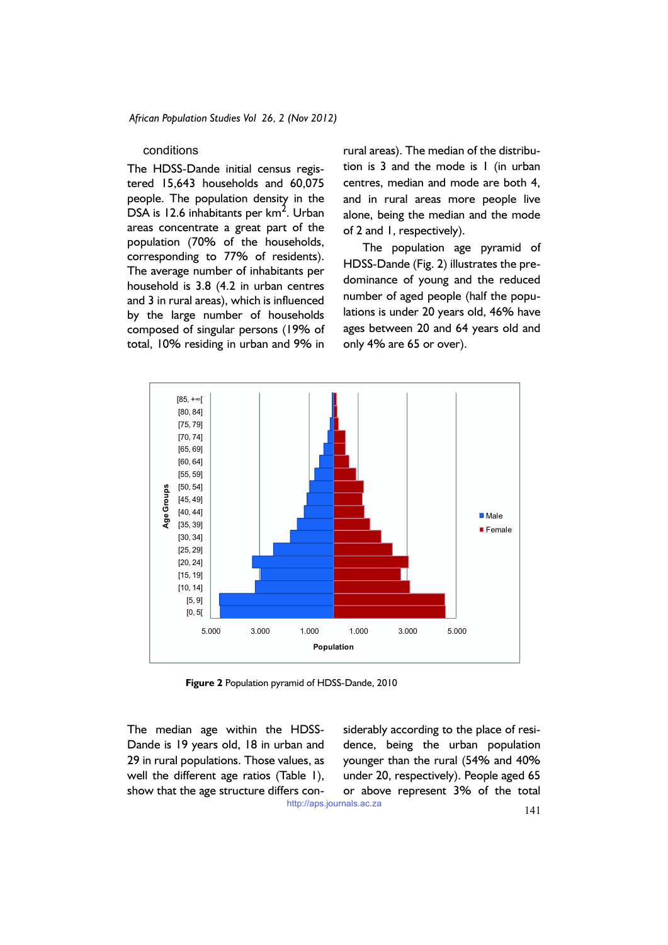#### conditions

The HDSS-Dande initial census registered 15,643 households and 60,075 people. The population density in the  $DSA$  is 12.6 inhabitants per km<sup>2</sup>. Urban areas concentrate a great part of the population (70% of the households, corresponding to 77% of residents). The average number of inhabitants per household is 3.8 (4.2 in urban centres and 3 in rural areas), which is influenced by the large number of households composed of singular persons (19% of total, 10% residing in urban and 9% in

rural areas). The median of the distribution is 3 and the mode is 1 (in urban centres, median and mode are both 4, and in rural areas more people live alone, being the median and the mode of 2 and 1, respectively).

The population age pyramid of HDSS-Dande (Fig. 2) illustrates the predominance of young and the reduced number of aged people (half the populations is under 20 years old, 46% have ages between 20 and 64 years old and only 4% are 65 or over).



**Figure 2** Population pyramid of HDSS-Dande, 2010

The median age within the HDSS-Dande is 19 years old, 18 in urban and 29 in rural populations. Those values, as well the different age ratios (Table 1), show that the age structure differs considerably according to the place of residence, being the urban population younger than the rural (54% and 40% under 20, respectively). People aged 65 or above represent 3% of the total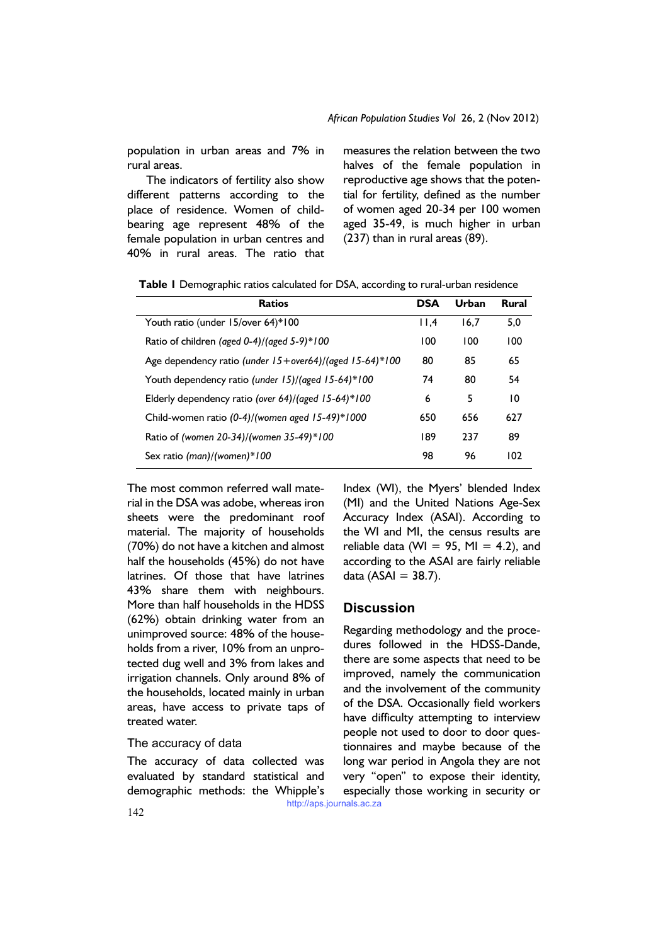population in urban areas and 7% in rural areas.

The indicators of fertility also show different patterns according to the place of residence. Women of childbearing age represent 48% of the female population in urban centres and 40% in rural areas. The ratio that measures the relation between the two halves of the female population in reproductive age shows that the potential for fertility, defined as the number of women aged 20-34 per 100 women aged 35-49, is much higher in urban (237) than in rural areas (89).

|  |  |  |  |  | Table I Demographic ratios calculated for DSA, according to rural-urban residence |
|--|--|--|--|--|-----------------------------------------------------------------------------------|
|--|--|--|--|--|-----------------------------------------------------------------------------------|

| <b>Ratios</b>                                           | <b>DSA</b> | Urban | <b>Rural</b> |
|---------------------------------------------------------|------------|-------|--------------|
| Youth ratio (under 15/over 64)*100                      | 11.4       | 16.7  | 5,0          |
| Ratio of children (aged 0-4)/(aged 5-9)*100             | 100        | 100   | 100          |
| Age dependency ratio (under 15+over64)/(aged 15-64)*100 | 80         | 85    | 65           |
| Youth dependency ratio (under 15)/(aged 15-64)*100      |            | 80    | 54           |
| Elderly dependency ratio (over 64)/(aged $15-64$ )*100  |            | 5     | 10           |
| Child-women ratio $(0-4)/($ women aged $15-49)*1000$    |            | 656   | 627          |
| Ratio of (women 20-34)/(women 35-49)*100                |            | 237   | 89           |
| Sex ratio $(man)/(women)*100$                           | 98         | 96    | 102          |

The most common referred wall material in the DSA was adobe, whereas iron sheets were the predominant roof material. The majority of households (70%) do not have a kitchen and almost half the households (45%) do not have latrines. Of those that have latrines 43% share them with neighbours. More than half households in the HDSS (62%) obtain drinking water from an unimproved source: 48% of the households from a river, 10% from an unprotected dug well and 3% from lakes and irrigation channels. Only around 8% of the households, located mainly in urban areas, have access to private taps of treated water.

## The accuracy of data

The accuracy of data collected was evaluated by standard statistical and demographic methods: the Whipple's Index (WI), the Myers' blended Index (MI) and the United Nations Age-Sex Accuracy Index (ASAI). According to the WI and MI, the census results are reliable data (WI = 95, MI = 4.2), and according to the ASAI are fairly reliable data  $(ASAI = 38.7)$ .

# **Discussion**

Regarding methodology and the procedures followed in the HDSS-Dande, there are some aspects that need to be improved, namely the communication and the involvement of the community of the DSA. Occasionally field workers have difficulty attempting to interview people not used to door to door questionnaires and maybe because of the long war period in Angola they are not very "open" to expose their identity, especially those working in security or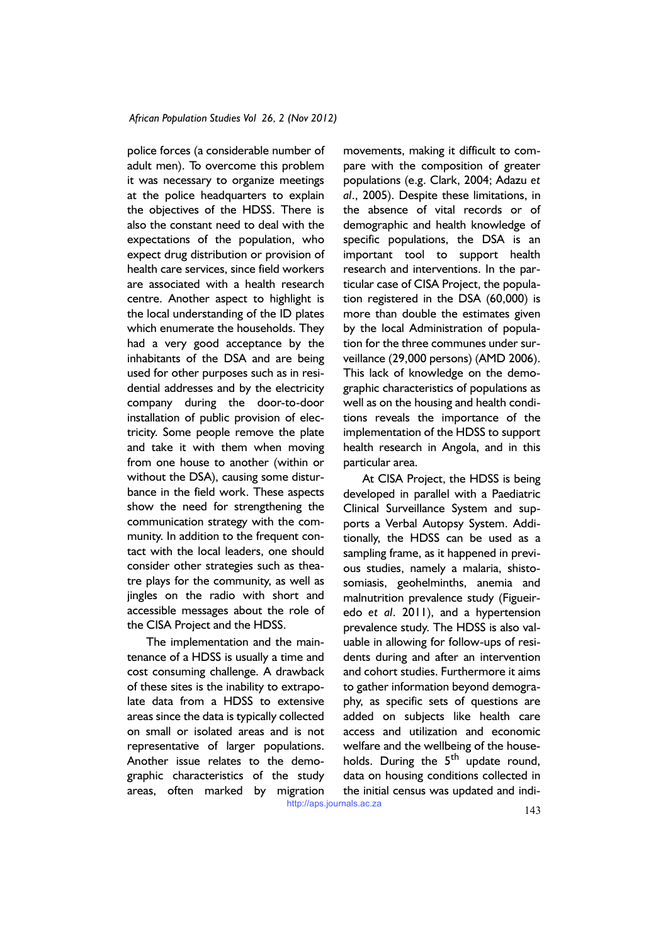police forces (a considerable number of adult men). To overcome this problem it was necessary to organize meetings at the police headquarters to explain the objectives of the HDSS. There is also the constant need to deal with the expectations of the population, who expect drug distribution or provision of health care services, since field workers are associated with a health research centre. Another aspect to highlight is the local understanding of the ID plates which enumerate the households. They had a very good acceptance by the inhabitants of the DSA and are being used for other purposes such as in residential addresses and by the electricity company during the door-to-door installation of public provision of electricity. Some people remove the plate and take it with them when moving from one house to another (within or without the DSA), causing some disturbance in the field work. These aspects show the need for strengthening the communication strategy with the community. In addition to the frequent contact with the local leaders, one should consider other strategies such as theatre plays for the community, as well as jingles on the radio with short and accessible messages about the role of the CISA Project and the HDSS.

The implementation and the maintenance of a HDSS is usually a time and cost consuming challenge. A drawback of these sites is the inability to extrapolate data from a HDSS to extensive areas since the data is typically collected on small or isolated areas and is not representative of larger populations. Another issue relates to the demographic characteristics of the study areas, often marked by migration movements, making it difficult to compare with the composition of greater populations (e.g. Clark, 2004; Adazu *et al*., 2005). Despite these limitations, in the absence of vital records or of demographic and health knowledge of specific populations, the DSA is an important tool to support health research and interventions. In the particular case of CISA Project, the population registered in the DSA (60,000) is more than double the estimates given by the local Administration of population for the three communes under surveillance (29,000 persons) (AMD 2006). This lack of knowledge on the demographic characteristics of populations as well as on the housing and health conditions reveals the importance of the implementation of the HDSS to support health research in Angola, and in this particular area.

At CISA Project, the HDSS is being developed in parallel with a Paediatric Clinical Surveillance System and supports a Verbal Autopsy System. Additionally, the HDSS can be used as a sampling frame, as it happened in previous studies, namely a malaria, shistosomiasis, geohelminths, anemia and malnutrition prevalence study (Figueiredo *et al*. 2011), and a hypertension prevalence study. The HDSS is also valuable in allowing for follow-ups of residents during and after an intervention and cohort studies. Furthermore it aims to gather information beyond demography, as specific sets of questions are added on subjects like health care access and utilization and economic welfare and the wellbeing of the households. During the  $5<sup>th</sup>$  update round, data on housing conditions collected in the initial census was updated and indi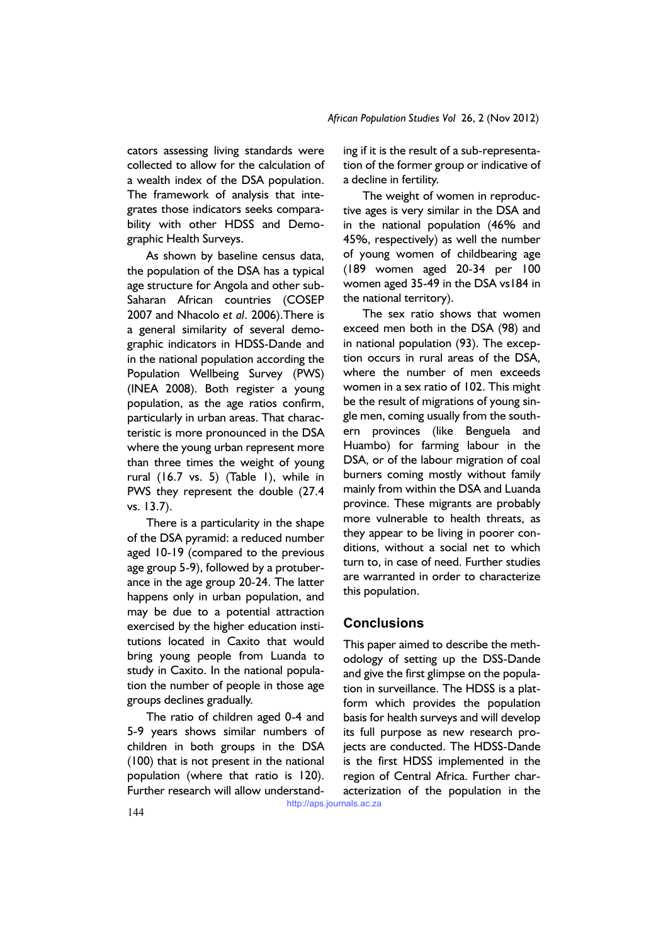cators assessing living standards were collected to allow for the calculation of a wealth index of the DSA population. The framework of analysis that integrates those indicators seeks comparability with other HDSS and Demographic Health Surveys.

As shown by baseline census data, the population of the DSA has a typical age structure for Angola and other sub-Saharan African countries (COSEP 2007 and Nhacolo *et al*. 2006).There is a general similarity of several demographic indicators in HDSS-Dande and in the national population according the Population Wellbeing Survey (PWS) (INEA 2008). Both register a young population, as the age ratios confirm, particularly in urban areas. That characteristic is more pronounced in the DSA where the young urban represent more than three times the weight of young rural (16.7 vs. 5) (Table 1), while in PWS they represent the double (27.4 vs. 13.7).

There is a particularity in the shape of the DSA pyramid: a reduced number aged 10-19 (compared to the previous age group 5-9), followed by a protuberance in the age group 20-24. The latter happens only in urban population, and may be due to a potential attraction exercised by the higher education institutions located in Caxito that would bring young people from Luanda to study in Caxito. In the national population the number of people in those age groups declines gradually.

The ratio of children aged 0-4 and 5-9 years shows similar numbers of children in both groups in the DSA (100) that is not present in the national population (where that ratio is 120). Further research will allow understanding if it is the result of a sub-representation of the former group or indicative of a decline in fertility.

The weight of women in reproductive ages is very similar in the DSA and in the national population (46% and 45%, respectively) as well the number of young women of childbearing age (189 women aged 20-34 per 100 women aged 35-49 in the DSA vs184 in the national territory).

The sex ratio shows that women exceed men both in the DSA (98) and in national population (93). The exception occurs in rural areas of the DSA, where the number of men exceeds women in a sex ratio of 102. This might be the result of migrations of young single men, coming usually from the southern provinces (like Benguela and Huambo) for farming labour in the DSA, or of the labour migration of coal burners coming mostly without family mainly from within the DSA and Luanda province. These migrants are probably more vulnerable to health threats, as they appear to be living in poorer conditions, without a social net to which turn to, in case of need. Further studies are warranted in order to characterize this population.

# **Conclusions**

This paper aimed to describe the methodology of setting up the DSS-Dande and give the first glimpse on the population in surveillance. The HDSS is a platform which provides the population basis for health surveys and will develop its full purpose as new research projects are conducted. The HDSS-Dande is the first HDSS implemented in the region of Central Africa. Further characterization of the population in the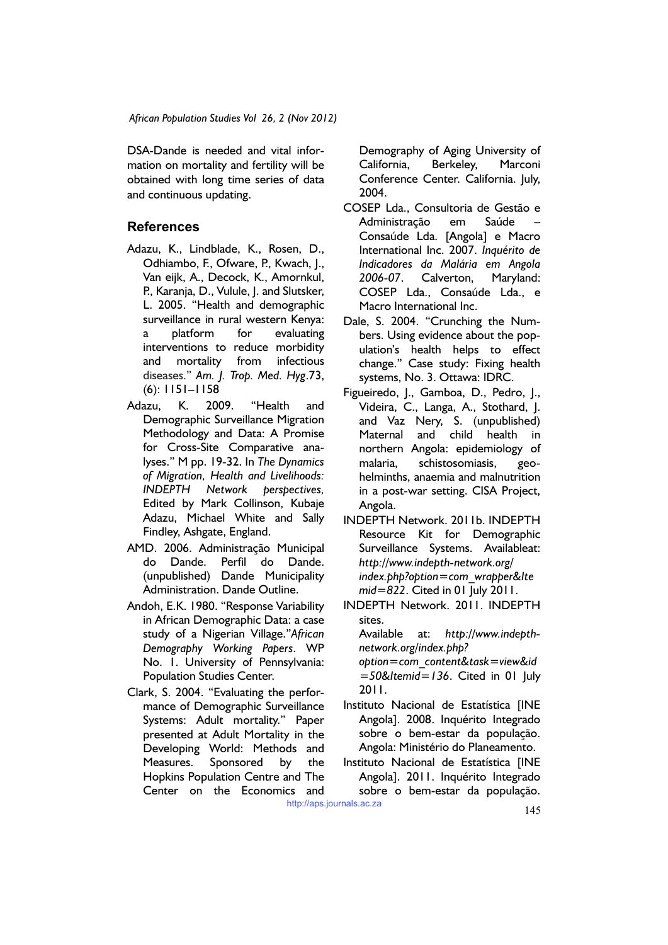DSA-Dande is needed and vital information on mortality and fertility will be obtained with long time series of data and continuous updating.

# **References**

- Adazu, K., Lindblade, K., Rosen, D., Odhiambo, F., Ofware, P., Kwach, J., Van eijk, A., Decock, K., Amornkul, P., Karanja, D., Vulule, J. and Slutsker, L. 2005. "Health and demographic surveillance in rural western Kenya: a platform for evaluating interventions to reduce morbidity and mortality from infectious diseases." *Am. J. Trop. Med. Hyg*.73, (6): 1151–1158
- Adazu, K. 2009. "Health and Demographic Surveillance Migration Methodology and Data: A Promise for Cross-Site Comparative analyses." M pp. 19-32. In *The Dynamics of Migration, Health and Livelihoods: INDEPTH Network perspectives,*  Edited by Mark Collinson, Kubaje Adazu, Michael White and Sally Findley, Ashgate, England.
- AMD. 2006. Administração Municipal do Dande. Perfil do Dande. (unpublished) Dande Municipality Administration. Dande Outline.
- Andoh, E.K. 1980. "Response Variability in African Demographic Data: a case study of a Nigerian Village."*African Demography Working Papers*. WP No. 1. University of Pennsylvania: Population Studies Center.
- Clark, S. 2004. "Evaluating the performance of Demographic Surveillance Systems: Adult mortality." Paper presented at Adult Mortality in the Developing World: Methods and Measures. Sponsored by the Hopkins Population Centre and The Center on the Economics and

Demography of Aging University of California, Berkeley, Marconi Conference Center. California. July, 2004.

- COSEP Lda., Consultoria de Gestão e Administração em Saúde – Consaúde Lda. [Angola] e Macro International Inc. 2007. *Inquérito de Indicadores da Malária em Angola 2006-07*. Calverton, Maryland: COSEP Lda., Consaúde Lda., e Macro International Inc.
- Dale, S. 2004. "Crunching the Numbers. Using evidence about the population's health helps to effect change." Case study: Fixing health systems, No. 3. Ottawa: IDRC.
- Figueiredo, J., Gamboa, D., Pedro, J., Videira, C., Langa, A., Stothard, J. and Vaz Nery, S. (unpublished) Maternal and child health in northern Angola: epidemiology of malaria, schistosomiasis, geohelminths, anaemia and malnutrition in a post-war setting. CISA Project, Angola.
- INDEPTH Network. 2011b. INDEPTH Resource Kit for Demographic Surveillance Systems. Availableat: *http://www.indepth-network.org/ index.php?option=com\_wrapper&Ite mid=822*. Cited in 01 July 2011.
- INDEPTH Network. 2011. INDEPTH sites.

Available at: *http://www.indepthnetwork.org/index.php?* 

*option=com\_content&task=view&id =50&Itemid=136*. Cited in 01 July 2011.

- Instituto Nacional de Estatística [INE Angola]. 2008. Inquérito Integrado sobre o bem-estar da população. Angola: Ministério do Planeamento.
- Instituto Nacional de Estatística [INE Angola]. 2011. Inquérito Integrado sobre o bem-estar da população.